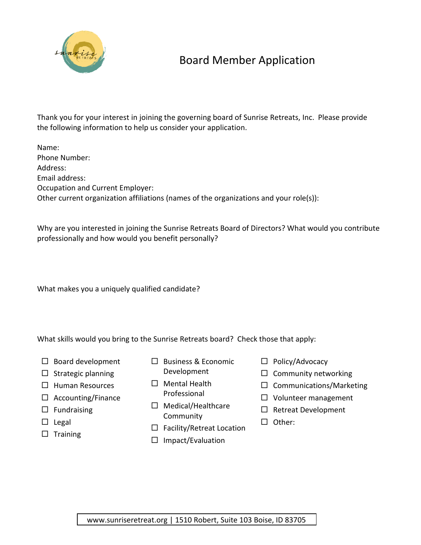

## Board Member Application

Thank you for your interest in joining the governing board of Sunrise Retreats, Inc. Please provide the following information to help us consider your application.

Name: Phone Number: Address: Email address: Occupation and Current Employer: Other current organization affiliations (names of the organizations and your role(s)):

Why are you interested in joining the Sunrise Retreats Board of Directors? What would you contribute professionally and how would you benefit personally?

What makes you a uniquely qualified candidate?

What skills would you bring to the Sunrise Retreats board? Check those that apply:

- $\square$  Board development
- $\square$  Strategic planning
- $\Box$  Human Resources
- $\Box$  Accounting/Finance
- $\Box$  Fundraising
- $\square$  Legal
- $\square$  Training
- $\square$  Business & Economic Development
- $\Box$  Mental Health Professional
- $\Box$  Medical/Healthcare Community
- $\Box$  Facility/Retreat Location
- $\Box$  Impact/Evaluation
- $\Box$  Policy/Advocacy
- $\Box$  Community networking
- $\square$  Communications/Marketing
- $\Box$  Volunteer management
- $\square$  Retreat Development
- □ Other: